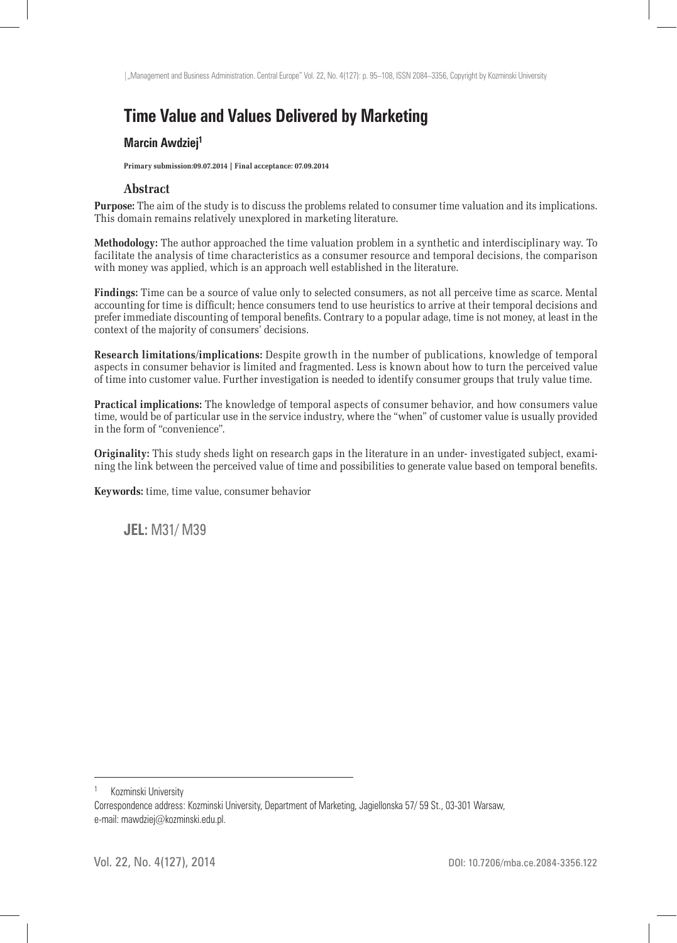# **Time Value and Values Delivered by Marketing**

#### **Marcin Awdziej1**

**Primary submission:09.07.2014 | Final acceptance: 07.09.2014**

#### **Abstract**

**Purpose:** The aim of the study is to discuss the problems related to consumer time valuation and its implications. This domain remains relatively unexplored in marketing literature.

**Methodology:** The author approached the time valuation problem in a synthetic and interdisciplinary way. To facilitate the analysis of time characteristics as a consumer resource and temporal decisions, the comparison with money was applied, which is an approach well established in the literature.

**Findings:** Time can be a source of value only to selected consumers, as not all perceive time as scarce. Mental accounting for time is difficult; hence consumers tend to use heuristics to arrive at their temporal decisions and prefer immediate discounting of temporal benefits. Contrary to a popular adage, time is not money, at least in the context of the majority of consumers' decisions.

**Research limitations/implications:** Despite growth in the number of publications, knowledge of temporal aspects in consumer behavior is limited and fragmented. Less is known about how to turn the perceived value of time into customer value. Further investigation is needed to identify consumer groups that truly value time.

**Practical implications:** The knowledge of temporal aspects of consumer behavior, and how consumers value time, would be of particular use in the service industry, where the "when" of customer value is usually provided in the form of "convenience".

**Originality:** This study sheds light on research gaps in the literature in an under- investigated subject, examining the link between the perceived value of time and possibilities to generate value based on temporal benefits.

**Keywords:** time, time value, consumer behavior

**JEL:** M31/ M39

Kozminski University

Correspondence address: Kozminski University, Department of Marketing, Jagiellonska 57/ 59 St., 03-301 Warsaw, e-mail: mawdziej@kozminski.edu.pl.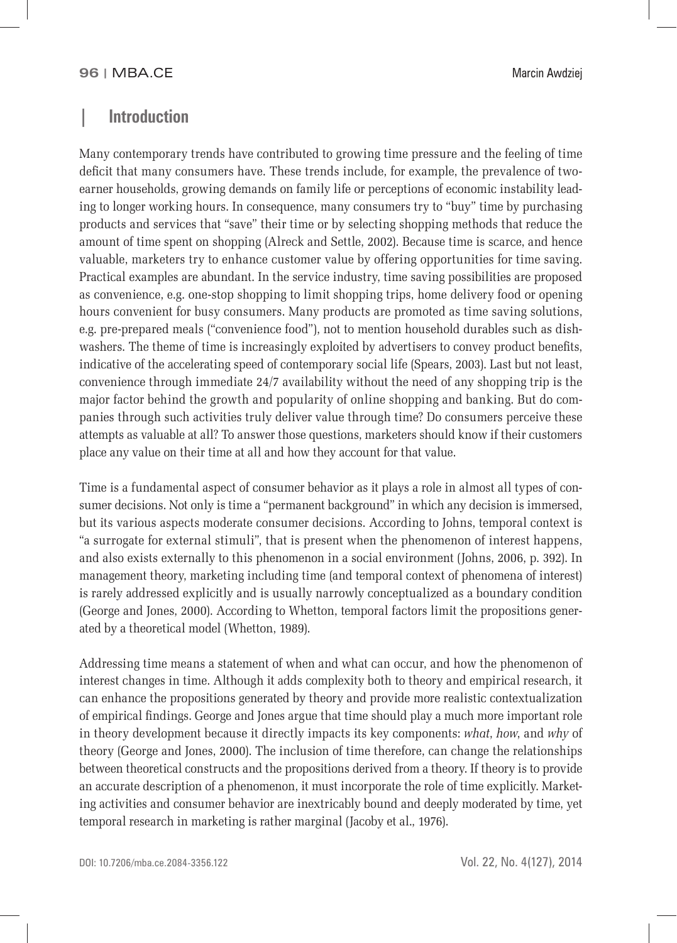### **| Introduction**

Many contemporary trends have contributed to growing time pressure and the feeling of time deficit that many consumers have. These trends include, for example, the prevalence of twoearner households, growing demands on family life or perceptions of economic instability leading to longer working hours. In consequence, many consumers try to "buy" time by purchasing products and services that "save" their time or by selecting shopping methods that reduce the amount of time spent on shopping (Alreck and Settle, 2002). Because time is scarce, and hence valuable, marketers try to enhance customer value by offering opportunities for time saving. Practical examples are abundant. In the service industry, time saving possibilities are proposed as convenience, e.g. one-stop shopping to limit shopping trips, home delivery food or opening hours convenient for busy consumers. Many products are promoted as time saving solutions, e.g. pre-prepared meals ("convenience food"), not to mention household durables such as dishwashers. The theme of time is increasingly exploited by advertisers to convey product benefits, indicative of the accelerating speed of contemporary social life (Spears, 2003). Last but not least, convenience through immediate 24/7 availability without the need of any shopping trip is the major factor behind the growth and popularity of online shopping and banking. But do companies through such activities truly deliver value through time? Do consumers perceive these attempts as valuable at all? To answer those questions, marketers should know if their customers place any value on their time at all and how they account for that value.

Time is a fundamental aspect of consumer behavior as it plays a role in almost all types of consumer decisions. Not only is time a "permanent background" in which any decision is immersed, but its various aspects moderate consumer decisions. According to Johns, temporal context is "a surrogate for external stimuli", that is present when the phenomenon of interest happens, and also exists externally to this phenomenon in a social environment (Johns, 2006, p. 392). In management theory, marketing including time (and temporal context of phenomena of interest) is rarely addressed explicitly and is usually narrowly conceptualized as a boundary condition (George and Jones, 2000). According to Whetton, temporal factors limit the propositions generated by a theoretical model (Whetton, 1989).

Addressing time means a statement of when and what can occur, and how the phenomenon of interest changes in time. Although it adds complexity both to theory and empirical research, it can enhance the propositions generated by theory and provide more realistic contextualization of empirical findings. George and Jones argue that time should play a much more important role in theory development because it directly impacts its key components: *what*, *how*, and *why* of theory (George and Jones, 2000). The inclusion of time therefore, can change the relationships between theoretical constructs and the propositions derived from a theory. If theory is to provide an accurate description of a phenomenon, it must incorporate the role of time explicitly. Marketing activities and consumer behavior are inextricably bound and deeply moderated by time, yet temporal research in marketing is rather marginal (Jacoby et al., 1976).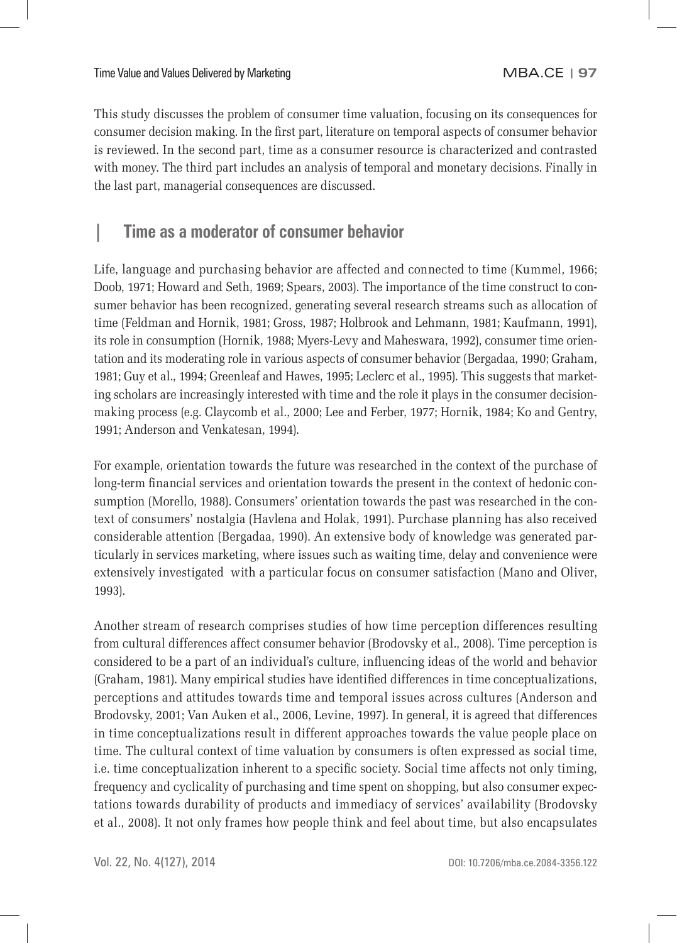This study discusses the problem of consumer time valuation, focusing on its consequences for consumer decision making. In the first part, literature on temporal aspects of consumer behavior is reviewed. In the second part, time as a consumer resource is characterized and contrasted with money. The third part includes an analysis of temporal and monetary decisions. Finally in the last part, managerial consequences are discussed.

# **| Time as a moderator of consumer behavior**

Life, language and purchasing behavior are affected and connected to time (Kummel, 1966; Doob, 1971; Howard and Seth, 1969; Spears, 2003). The importance of the time construct to consumer behavior has been recognized, generating several research streams such as allocation of time (Feldman and Hornik, 1981; Gross, 1987; Holbrook and Lehmann, 1981; Kaufmann, 1991), its role in consumption (Hornik, 1988; Myers-Levy and Maheswara, 1992), consumer time orientation and its moderating role in various aspects of consumer behavior (Bergadaa, 1990; Graham, 1981; Guy et al., 1994; Greenleaf and Hawes, 1995; Leclerc et al., 1995). This suggests that marketing scholars are increasingly interested with time and the role it plays in the consumer decisionmaking process (e.g. Claycomb et al., 2000; Lee and Ferber, 1977; Hornik, 1984; Ko and Gentry, 1991; Anderson and Venkatesan, 1994).

For example, orientation towards the future was researched in the context of the purchase of long-term financial services and orientation towards the present in the context of hedonic consumption (Morello, 1988). Consumers' orientation towards the past was researched in the context of consumers' nostalgia (Havlena and Holak, 1991). Purchase planning has also received considerable attention (Bergadaa, 1990). An extensive body of knowledge was generated particularly in services marketing, where issues such as waiting time, delay and convenience were extensively investigated with a particular focus on consumer satisfaction (Mano and Oliver, 1993).

Another stream of research comprises studies of how time perception differences resulting from cultural differences affect consumer behavior (Brodovsky et al., 2008). Time perception is considered to be a part of an individual's culture, influencing ideas of the world and behavior (Graham, 1981). Many empirical studies have identified differences in time conceptualizations, perceptions and attitudes towards time and temporal issues across cultures (Anderson and Brodovsky, 2001; Van Auken et al., 2006, Levine, 1997). In general, it is agreed that differences in time conceptualizations result in different approaches towards the value people place on time. The cultural context of time valuation by consumers is often expressed as social time, i.e. time conceptualization inherent to a specific society. Social time affects not only timing, frequency and cyclicality of purchasing and time spent on shopping, but also consumer expectations towards durability of products and immediacy of services' availability (Brodovsky et al., 2008). It not only frames how people think and feel about time, but also encapsulates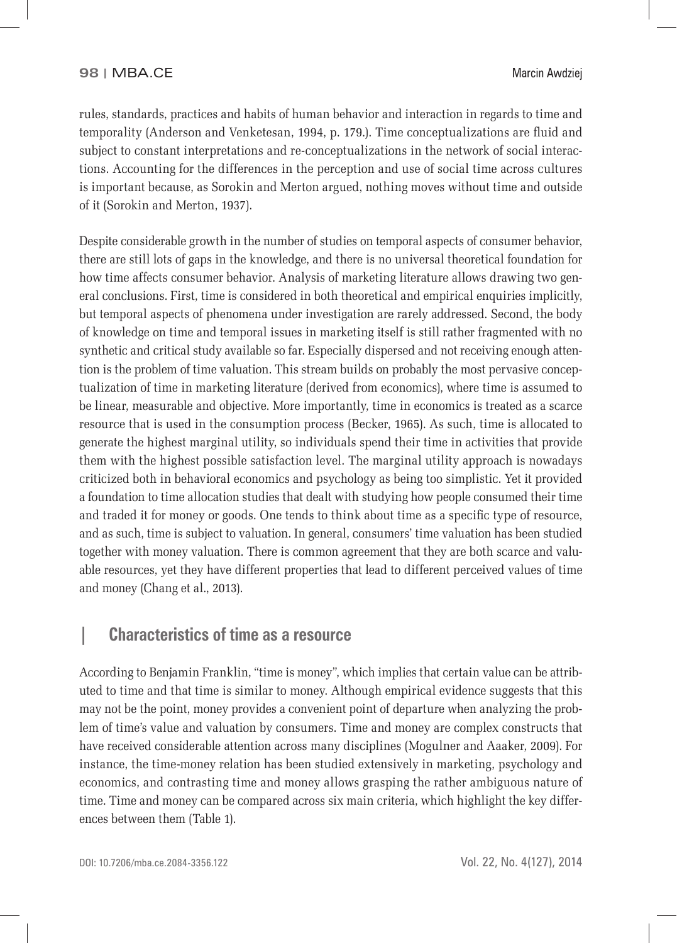rules, standards, practices and habits of human behavior and interaction in regards to time and temporality (Anderson and Venketesan, 1994, p. 179.). Time conceptualizations are fluid and subject to constant interpretations and re-conceptualizations in the network of social interactions. Accounting for the differences in the perception and use of social time across cultures is important because, as Sorokin and Merton argued, nothing moves without time and outside of it (Sorokin and Merton, 1937).

Despite considerable growth in the number of studies on temporal aspects of consumer behavior, there are still lots of gaps in the knowledge, and there is no universal theoretical foundation for how time affects consumer behavior. Analysis of marketing literature allows drawing two general conclusions. First, time is considered in both theoretical and empirical enquiries implicitly, but temporal aspects of phenomena under investigation are rarely addressed. Second, the body of knowledge on time and temporal issues in marketing itself is still rather fragmented with no synthetic and critical study available so far. Especially dispersed and not receiving enough attention is the problem of time valuation. This stream builds on probably the most pervasive conceptualization of time in marketing literature (derived from economics), where time is assumed to be linear, measurable and objective. More importantly, time in economics is treated as a scarce resource that is used in the consumption process (Becker, 1965). As such, time is allocated to generate the highest marginal utility, so individuals spend their time in activities that provide them with the highest possible satisfaction level. The marginal utility approach is nowadays criticized both in behavioral economics and psychology as being too simplistic. Yet it provided a foundation to time allocation studies that dealt with studying how people consumed their time and traded it for money or goods. One tends to think about time as a specific type of resource, and as such, time is subject to valuation. In general, consumers' time valuation has been studied together with money valuation. There is common agreement that they are both scarce and valuable resources, yet they have different properties that lead to different perceived values of time and money (Chang et al., 2013).

### **| Characteristics of time as a resource**

According to Benjamin Franklin, "time is money", which implies that certain value can be attributed to time and that time is similar to money. Although empirical evidence suggests that this may not be the point, money provides a convenient point of departure when analyzing the problem of time's value and valuation by consumers. Time and money are complex constructs that have received considerable attention across many disciplines (Mogulner and Aaaker, 2009). For instance, the time-money relation has been studied extensively in marketing, psychology and economics, and contrasting time and money allows grasping the rather ambiguous nature of time. Time and money can be compared across six main criteria, which highlight the key differences between them (Table 1).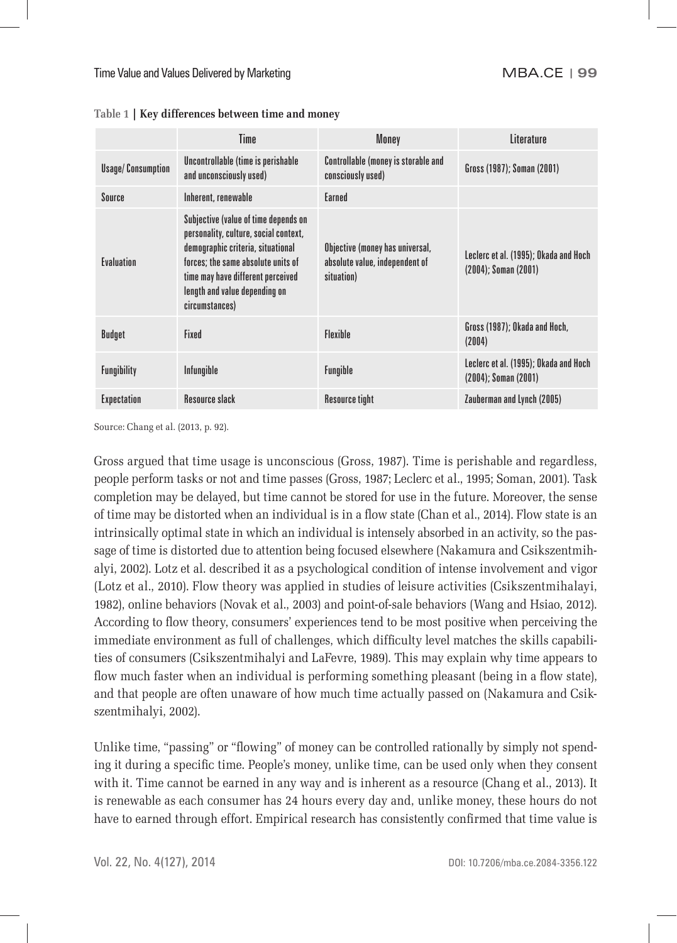|                          | Time                                                                                                                                                                                                                                             | Money                                                                           | Literature                                                         |
|--------------------------|--------------------------------------------------------------------------------------------------------------------------------------------------------------------------------------------------------------------------------------------------|---------------------------------------------------------------------------------|--------------------------------------------------------------------|
| <b>Usage/Consumption</b> | Uncontrollable (time is perishable<br>and unconsciously used)                                                                                                                                                                                    | <b>Controllable (money is storable and</b><br>consciously used)                 | Gross (1987); Soman (2001)                                         |
| Source                   | Inherent, renewable                                                                                                                                                                                                                              | Earned                                                                          |                                                                    |
| Evaluation               | Subjective (value of time depends on<br>personality, culture, social context,<br>demographic criteria, situational<br>forces: the same absolute units of<br>time may have different perceived<br>length and value depending on<br>circumstances) | Objective (money has universal,<br>absolute value, independent of<br>situation) | Leclerc et al. (1995); Okada and Hoch<br>$(2004)$ ; Soman $(2001)$ |
| Budget                   | Fixed                                                                                                                                                                                                                                            | <b>Flexible</b>                                                                 | Gross (1987); Okada and Hoch,<br>(2004)                            |
| <b>Fungibility</b>       | Infungible                                                                                                                                                                                                                                       | <b>Fungible</b>                                                                 | Leclerc et al. (1995); Okada and Hoch<br>$(2004)$ ; Soman $(2001)$ |
| <b>Expectation</b>       | <b>Resource slack</b>                                                                                                                                                                                                                            | <b>Resource tight</b>                                                           | Zauberman and Lynch (2005)                                         |

**Table 1 | Key differences between time and money**

Source: Chang et al. (2013, p. 92).

Gross argued that time usage is unconscious (Gross, 1987). Time is perishable and regardless, people perform tasks or not and time passes (Gross, 1987; Leclerc et al., 1995; Soman, 2001). Task completion may be delayed, but time cannot be stored for use in the future. Moreover, the sense of time may be distorted when an individual is in a flow state (Chan et al., 2014). Flow state is an intrinsically optimal state in which an individual is intensely absorbed in an activity, so the passage of time is distorted due to attention being focused elsewhere (Nakamura and Csikszentmihalyi, 2002). Lotz et al. described it as a psychological condition of intense involvement and vigor (Lotz et al., 2010). Flow theory was applied in studies of leisure activities (Csikszentmihalayi, 1982), online behaviors (Novak et al., 2003) and point-of-sale behaviors (Wang and Hsiao, 2012). According to flow theory, consumers' experiences tend to be most positive when perceiving the immediate environment as full of challenges, which difficulty level matches the skills capabilities of consumers (Csikszentmihalyi and LaFevre, 1989). This may explain why time appears to flow much faster when an individual is performing something pleasant (being in a flow state), and that people are often unaware of how much time actually passed on (Nakamura and Csikszentmihalyi, 2002).

Unlike time, "passing" or "flowing" of money can be controlled rationally by simply not spending it during a specific time. People's money, unlike time, can be used only when they consent with it. Time cannot be earned in any way and is inherent as a resource (Chang et al., 2013). It is renewable as each consumer has 24 hours every day and, unlike money, these hours do not have to earned through effort. Empirical research has consistently confirmed that time value is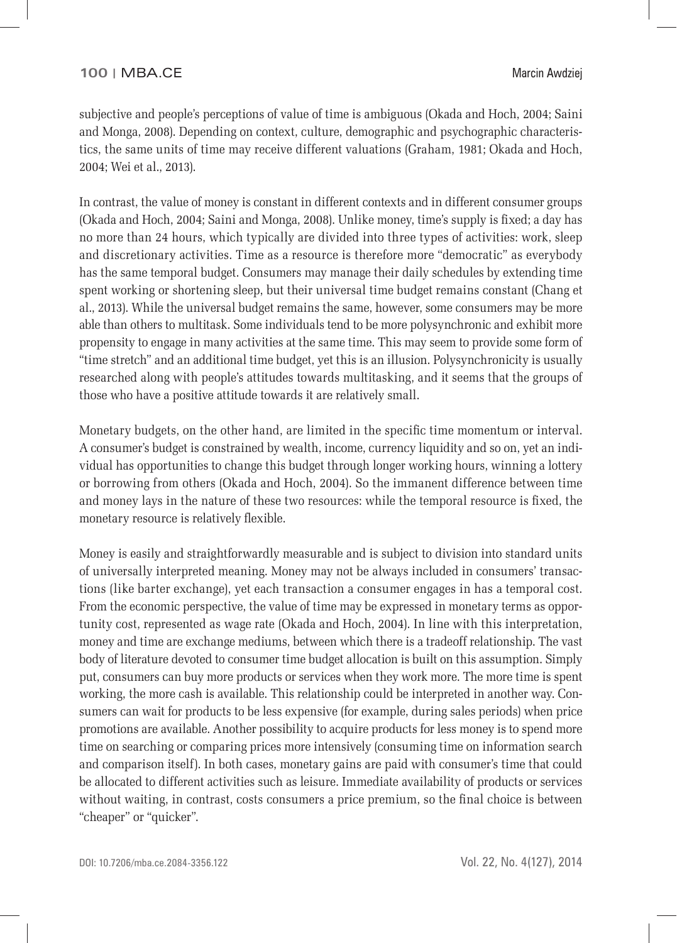subjective and people's perceptions of value of time is ambiguous (Okada and Hoch, 2004; Saini and Monga, 2008). Depending on context, culture, demographic and psychographic characteristics, the same units of time may receive different valuations (Graham, 1981; Okada and Hoch, 2004; Wei et al., 2013).

In contrast, the value of money is constant in different contexts and in different consumer groups (Okada and Hoch, 2004; Saini and Monga, 2008). Unlike money, time's supply is fixed; a day has no more than 24 hours, which typically are divided into three types of activities: work, sleep and discretionary activities. Time as a resource is therefore more "democratic" as everybody has the same temporal budget. Consumers may manage their daily schedules by extending time spent working or shortening sleep, but their universal time budget remains constant (Chang et al., 2013). While the universal budget remains the same, however, some consumers may be more able than others to multitask. Some individuals tend to be more polysynchronic and exhibit more propensity to engage in many activities at the same time. This may seem to provide some form of "time stretch" and an additional time budget, yet this is an illusion. Polysynchronicity is usually researched along with people's attitudes towards multitasking, and it seems that the groups of those who have a positive attitude towards it are relatively small.

Monetary budgets, on the other hand, are limited in the specific time momentum or interval. A consumer's budget is constrained by wealth, income, currency liquidity and so on, yet an individual has opportunities to change this budget through longer working hours, winning a lottery or borrowing from others (Okada and Hoch, 2004). So the immanent difference between time and money lays in the nature of these two resources: while the temporal resource is fixed, the monetary resource is relatively flexible.

Money is easily and straightforwardly measurable and is subject to division into standard units of universally interpreted meaning. Money may not be always included in consumers' transactions (like barter exchange), yet each transaction a consumer engages in has a temporal cost. From the economic perspective, the value of time may be expressed in monetary terms as opportunity cost, represented as wage rate (Okada and Hoch, 2004). In line with this interpretation, money and time are exchange mediums, between which there is a tradeoff relationship. The vast body of literature devoted to consumer time budget allocation is built on this assumption. Simply put, consumers can buy more products or services when they work more. The more time is spent working, the more cash is available. This relationship could be interpreted in another way. Consumers can wait for products to be less expensive (for example, during sales periods) when price promotions are available. Another possibility to acquire products for less money is to spend more time on searching or comparing prices more intensively (consuming time on information search and comparison itself). In both cases, monetary gains are paid with consumer's time that could be allocated to different activities such as leisure. Immediate availability of products or services without waiting, in contrast, costs consumers a price premium, so the final choice is between "cheaper" or "quicker".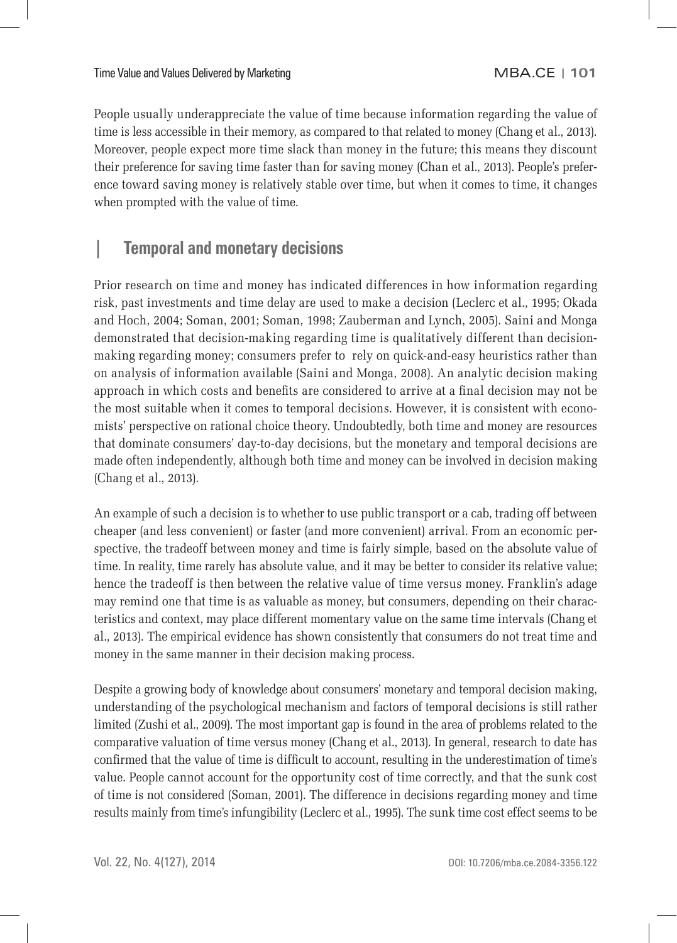People usually underappreciate the value of time because information regarding the value of time is less accessible in their memory, as compared to that related to money (Chang et al., 2013). Moreover, people expect more time slack than money in the future; this means they discount their preference for saving time faster than for saving money (Chan et al., 2013). People's preference toward saving money is relatively stable over time, but when it comes to time, it changes when prompted with the value of time.

## **| Temporal and monetary decisions**

Prior research on time and money has indicated differences in how information regarding risk, past investments and time delay are used to make a decision (Leclerc et al., 1995; Okada and Hoch, 2004; Soman, 2001; Soman, 1998; Zauberman and Lynch, 2005). Saini and Monga demonstrated that decision-making regarding time is qualitatively different than decisionmaking regarding money; consumers prefer to rely on quick-and-easy heuristics rather than on analysis of information available (Saini and Monga, 2008). An analytic decision making approach in which costs and benefits are considered to arrive at a final decision may not be the most suitable when it comes to temporal decisions. However, it is consistent with economists' perspective on rational choice theory. Undoubtedly, both time and money are resources that dominate consumers' day-to-day decisions, but the monetary and temporal decisions are made often independently, although both time and money can be involved in decision making (Chang et al., 2013).

An example of such a decision is to whether to use public transport or a cab, trading off between cheaper (and less convenient) or faster (and more convenient) arrival. From an economic perspective, the tradeoff between money and time is fairly simple, based on the absolute value of time. In reality, time rarely has absolute value, and it may be better to consider its relative value; hence the tradeoff is then between the relative value of time versus money. Franklin's adage may remind one that time is as valuable as money, but consumers, depending on their characteristics and context, may place different momentary value on the same time intervals (Chang et al., 2013). The empirical evidence has shown consistently that consumers do not treat time and money in the same manner in their decision making process.

Despite a growing body of knowledge about consumers' monetary and temporal decision making, understanding of the psychological mechanism and factors of temporal decisions is still rather limited (Zushi et al., 2009). The most important gap is found in the area of problems related to the comparative valuation of time versus money (Chang et al., 2013). In general, research to date has confirmed that the value of time is difficult to account, resulting in the underestimation of time's value. People cannot account for the opportunity cost of time correctly, and that the sunk cost of time is not considered (Soman, 2001). The difference in decisions regarding money and time results mainly from time's infungibility (Leclerc et al., 1995). The sunk time cost effect seems to be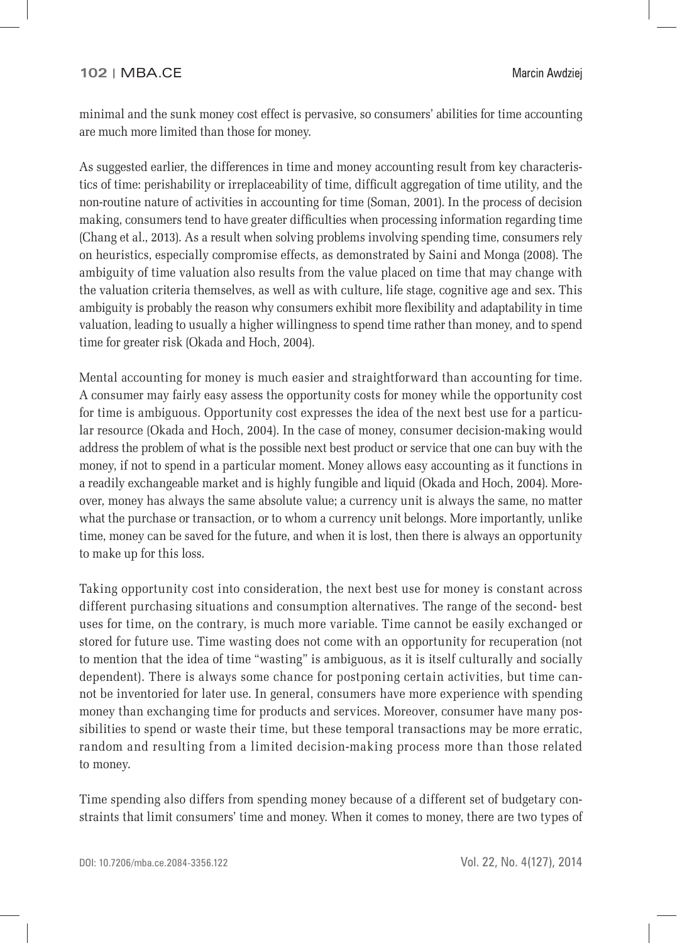minimal and the sunk money cost effect is pervasive, so consumers' abilities for time accounting are much more limited than those for money.

As suggested earlier, the differences in time and money accounting result from key characteristics of time: perishability or irreplaceability of time, difficult aggregation of time utility, and the non-routine nature of activities in accounting for time (Soman, 2001). In the process of decision making, consumers tend to have greater difficulties when processing information regarding time (Chang et al., 2013). As a result when solving problems involving spending time, consumers rely on heuristics, especially compromise effects, as demonstrated by Saini and Monga (2008). The ambiguity of time valuation also results from the value placed on time that may change with the valuation criteria themselves, as well as with culture, life stage, cognitive age and sex. This ambiguity is probably the reason why consumers exhibit more flexibility and adaptability in time valuation, leading to usually a higher willingness to spend time rather than money, and to spend time for greater risk (Okada and Hoch, 2004).

Mental accounting for money is much easier and straightforward than accounting for time. A consumer may fairly easy assess the opportunity costs for money while the opportunity cost for time is ambiguous. Opportunity cost expresses the idea of the next best use for a particular resource (Okada and Hoch, 2004). In the case of money, consumer decision-making would address the problem of what is the possible next best product or service that one can buy with the money, if not to spend in a particular moment. Money allows easy accounting as it functions in a readily exchangeable market and is highly fungible and liquid (Okada and Hoch, 2004). Moreover, money has always the same absolute value; a currency unit is always the same, no matter what the purchase or transaction, or to whom a currency unit belongs. More importantly, unlike time, money can be saved for the future, and when it is lost, then there is always an opportunity to make up for this loss.

Taking opportunity cost into consideration, the next best use for money is constant across different purchasing situations and consumption alternatives. The range of the second- best uses for time, on the contrary, is much more variable. Time cannot be easily exchanged or stored for future use. Time wasting does not come with an opportunity for recuperation (not to mention that the idea of time "wasting" is ambiguous, as it is itself culturally and socially dependent). There is always some chance for postponing certain activities, but time cannot be inventoried for later use. In general, consumers have more experience with spending money than exchanging time for products and services. Moreover, consumer have many possibilities to spend or waste their time, but these temporal transactions may be more erratic, random and resulting from a limited decision-making process more than those related to money.

Time spending also differs from spending money because of a different set of budgetary constraints that limit consumers' time and money. When it comes to money, there are two types of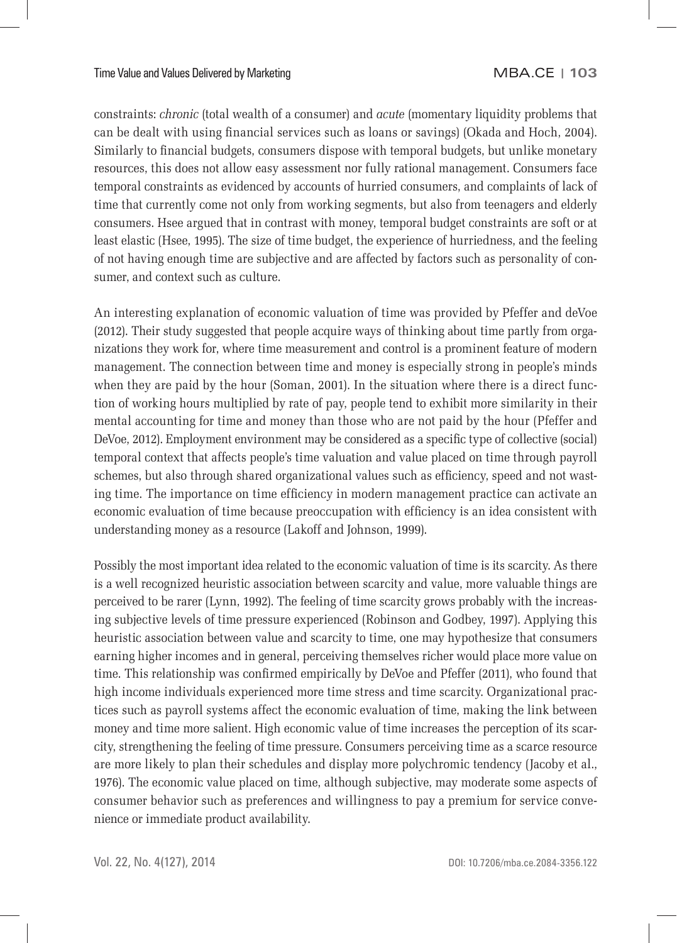constraints: *chronic* (total wealth of a consumer) and *acute* (momentary liquidity problems that can be dealt with using financial services such as loans or savings) (Okada and Hoch, 2004). Similarly to financial budgets, consumers dispose with temporal budgets, but unlike monetary resources, this does not allow easy assessment nor fully rational management. Consumers face temporal constraints as evidenced by accounts of hurried consumers, and complaints of lack of time that currently come not only from working segments, but also from teenagers and elderly consumers. Hsee argued that in contrast with money, temporal budget constraints are soft or at least elastic (Hsee, 1995). The size of time budget, the experience of hurriedness, and the feeling of not having enough time are subjective and are affected by factors such as personality of consumer, and context such as culture.

An interesting explanation of economic valuation of time was provided by Pfeffer and deVoe (2012). Their study suggested that people acquire ways of thinking about time partly from organizations they work for, where time measurement and control is a prominent feature of modern management. The connection between time and money is especially strong in people's minds when they are paid by the hour (Soman, 2001). In the situation where there is a direct function of working hours multiplied by rate of pay, people tend to exhibit more similarity in their mental accounting for time and money than those who are not paid by the hour (Pfeffer and DeVoe, 2012). Employment environment may be considered as a specific type of collective (social) temporal context that affects people's time valuation and value placed on time through payroll schemes, but also through shared organizational values such as efficiency, speed and not wasting time. The importance on time efficiency in modern management practice can activate an economic evaluation of time because preoccupation with efficiency is an idea consistent with understanding money as a resource (Lakoff and Johnson, 1999).

Possibly the most important idea related to the economic valuation of time is its scarcity. As there is a well recognized heuristic association between scarcity and value, more valuable things are perceived to be rarer (Lynn, 1992). The feeling of time scarcity grows probably with the increasing subjective levels of time pressure experienced (Robinson and Godbey, 1997). Applying this heuristic association between value and scarcity to time, one may hypothesize that consumers earning higher incomes and in general, perceiving themselves richer would place more value on time. This relationship was confirmed empirically by DeVoe and Pfeffer (2011), who found that high income individuals experienced more time stress and time scarcity. Organizational practices such as payroll systems affect the economic evaluation of time, making the link between money and time more salient. High economic value of time increases the perception of its scarcity, strengthening the feeling of time pressure. Consumers perceiving time as a scarce resource are more likely to plan their schedules and display more polychromic tendency (Jacoby et al., 1976). The economic value placed on time, although subjective, may moderate some aspects of consumer behavior such as preferences and willingness to pay a premium for service convenience or immediate product availability.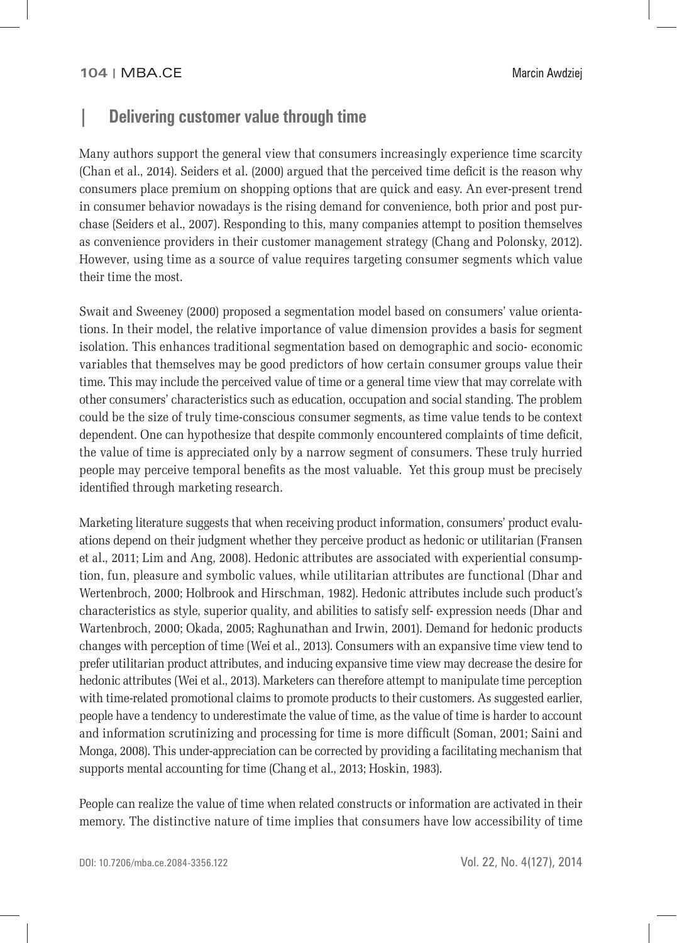# **| Delivering customer value through time**

Many authors support the general view that consumers increasingly experience time scarcity (Chan et al., 2014). Seiders et al. (2000) argued that the perceived time deficit is the reason why consumers place premium on shopping options that are quick and easy. An ever-present trend in consumer behavior nowadays is the rising demand for convenience, both prior and post purchase (Seiders et al., 2007). Responding to this, many companies attempt to position themselves as convenience providers in their customer management strategy (Chang and Polonsky, 2012). However, using time as a source of value requires targeting consumer segments which value their time the most.

Swait and Sweeney (2000) proposed a segmentation model based on consumers' value orientations. In their model, the relative importance of value dimension provides a basis for segment isolation. This enhances traditional segmentation based on demographic and socio- economic variables that themselves may be good predictors of how certain consumer groups value their time. This may include the perceived value of time or a general time view that may correlate with other consumers' characteristics such as education, occupation and social standing. The problem could be the size of truly time-conscious consumer segments, as time value tends to be context dependent. One can hypothesize that despite commonly encountered complaints of time deficit, the value of time is appreciated only by a narrow segment of consumers. These truly hurried people may perceive temporal benefits as the most valuable. Yet this group must be precisely identified through marketing research.

Marketing literature suggests that when receiving product information, consumers' product evaluations depend on their judgment whether they perceive product as hedonic or utilitarian (Fransen et al., 2011; Lim and Ang, 2008). Hedonic attributes are associated with experiential consumption, fun, pleasure and symbolic values, while utilitarian attributes are functional (Dhar and Wertenbroch, 2000; Holbrook and Hirschman, 1982). Hedonic attributes include such product's characteristics as style, superior quality, and abilities to satisfy self- expression needs (Dhar and Wartenbroch, 2000; Okada, 2005; Raghunathan and Irwin, 2001). Demand for hedonic products changes with perception of time (Wei et al., 2013). Consumers with an expansive time view tend to prefer utilitarian product attributes, and inducing expansive time view may decrease the desire for hedonic attributes (Wei et al., 2013). Marketers can therefore attempt to manipulate time perception with time-related promotional claims to promote products to their customers. As suggested earlier, people have a tendency to underestimate the value of time, as the value of time is harder to account and information scrutinizing and processing for time is more difficult (Soman, 2001; Saini and Monga, 2008). This under-appreciation can be corrected by providing a facilitating mechanism that supports mental accounting for time (Chang et al., 2013; Hoskin, 1983).

People can realize the value of time when related constructs or information are activated in their memory. The distinctive nature of time implies that consumers have low accessibility of time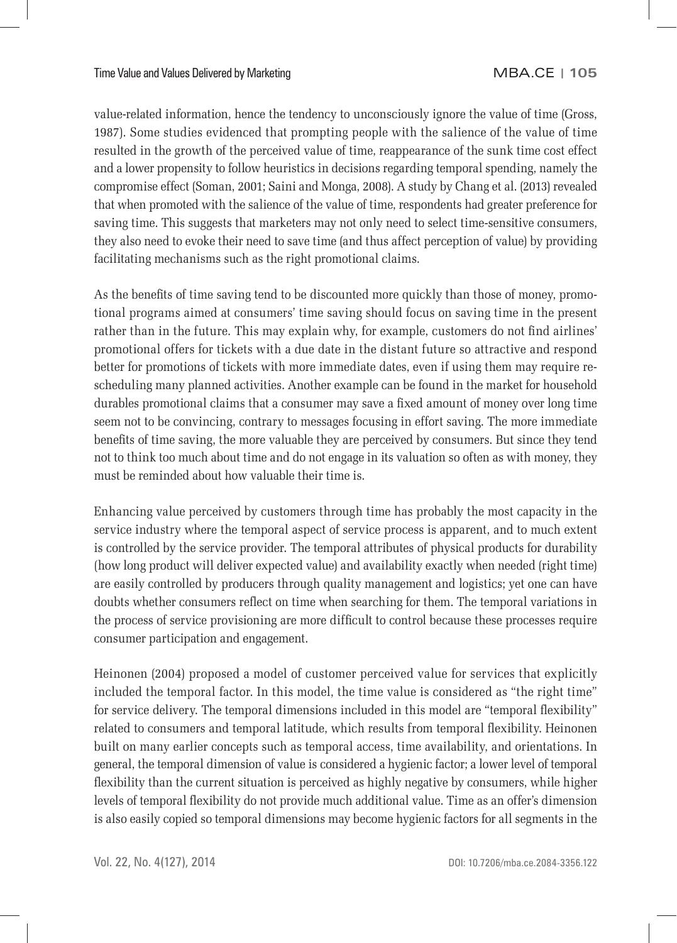value-related information, hence the tendency to unconsciously ignore the value of time (Gross, 1987). Some studies evidenced that prompting people with the salience of the value of time resulted in the growth of the perceived value of time, reappearance of the sunk time cost effect and a lower propensity to follow heuristics in decisions regarding temporal spending, namely the compromise effect (Soman, 2001; Saini and Monga, 2008). A study by Chang et al. (2013) revealed that when promoted with the salience of the value of time, respondents had greater preference for saving time. This suggests that marketers may not only need to select time-sensitive consumers, they also need to evoke their need to save time (and thus affect perception of value) by providing facilitating mechanisms such as the right promotional claims.

As the benefits of time saving tend to be discounted more quickly than those of money, promotional programs aimed at consumers' time saving should focus on saving time in the present rather than in the future. This may explain why, for example, customers do not find airlines' promotional offers for tickets with a due date in the distant future so attractive and respond better for promotions of tickets with more immediate dates, even if using them may require rescheduling many planned activities. Another example can be found in the market for household durables promotional claims that a consumer may save a fixed amount of money over long time seem not to be convincing, contrary to messages focusing in effort saving. The more immediate benefits of time saving, the more valuable they are perceived by consumers. But since they tend not to think too much about time and do not engage in its valuation so often as with money, they must be reminded about how valuable their time is.

Enhancing value perceived by customers through time has probably the most capacity in the service industry where the temporal aspect of service process is apparent, and to much extent is controlled by the service provider. The temporal attributes of physical products for durability (how long product will deliver expected value) and availability exactly when needed (right time) are easily controlled by producers through quality management and logistics; yet one can have doubts whether consumers reflect on time when searching for them. The temporal variations in the process of service provisioning are more difficult to control because these processes require consumer participation and engagement.

Heinonen (2004) proposed a model of customer perceived value for services that explicitly included the temporal factor. In this model, the time value is considered as "the right time" for service delivery. The temporal dimensions included in this model are "temporal flexibility" related to consumers and temporal latitude, which results from temporal flexibility. Heinonen built on many earlier concepts such as temporal access, time availability, and orientations. In general, the temporal dimension of value is considered a hygienic factor; a lower level of temporal flexibility than the current situation is perceived as highly negative by consumers, while higher levels of temporal flexibility do not provide much additional value. Time as an offer's dimension is also easily copied so temporal dimensions may become hygienic factors for all segments in the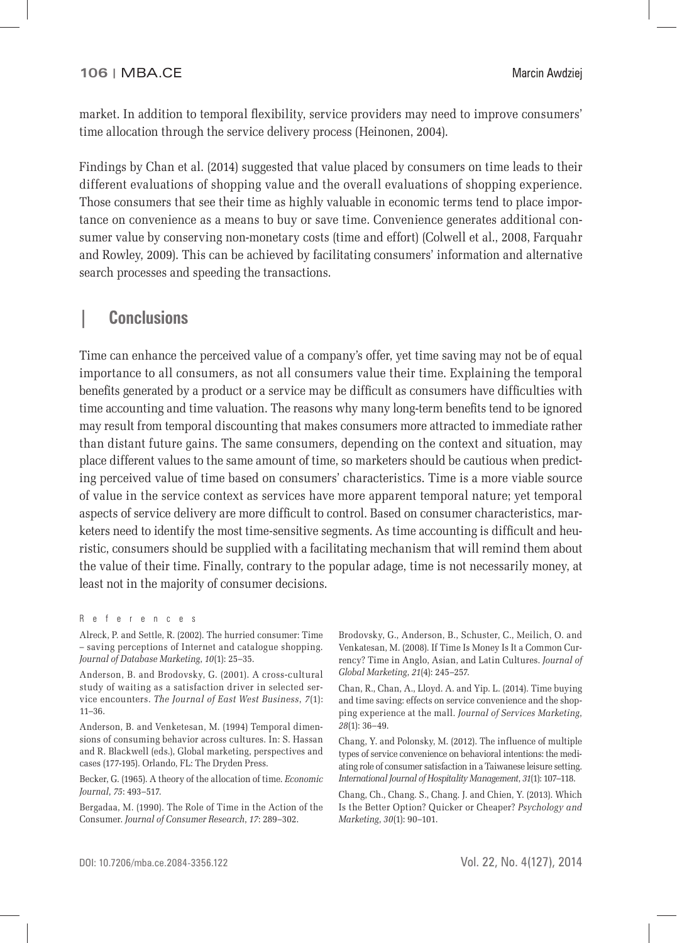market. In addition to temporal flexibility, service providers may need to improve consumers' time allocation through the service delivery process (Heinonen, 2004).

Findings by Chan et al. (2014) suggested that value placed by consumers on time leads to their different evaluations of shopping value and the overall evaluations of shopping experience. Those consumers that see their time as highly valuable in economic terms tend to place importance on convenience as a means to buy or save time. Convenience generates additional consumer value by conserving non-monetary costs (time and effort) (Colwell et al., 2008, Farquahr and Rowley, 2009). This can be achieved by facilitating consumers' information and alternative search processes and speeding the transactions.

### **| Conclusions**

Time can enhance the perceived value of a company's offer, yet time saving may not be of equal importance to all consumers, as not all consumers value their time. Explaining the temporal benefits generated by a product or a service may be difficult as consumers have difficulties with time accounting and time valuation. The reasons why many long-term benefits tend to be ignored may result from temporal discounting that makes consumers more attracted to immediate rather than distant future gains. The same consumers, depending on the context and situation, may place different values to the same amount of time, so marketers should be cautious when predicting perceived value of time based on consumers' characteristics. Time is a more viable source of value in the service context as services have more apparent temporal nature; yet temporal aspects of service delivery are more difficult to control. Based on consumer characteristics, marketers need to identify the most time-sensitive segments. As time accounting is difficult and heuristic, consumers should be supplied with a facilitating mechanism that will remind them about the value of their time. Finally, contrary to the popular adage, time is not necessarily money, at least not in the majority of consumer decisions.

Becker, G. (1965). A theory of the allocation of time. *Economic Journal*, *75*: 493–517.

Bergadaa, M. (1990). The Role of Time in the Action of the Consumer. *Journal of Consumer Research*, *17*: 289–302.

Brodovsky, G., Anderson, B., Schuster, C., Meilich, O. and Venkatesan, M. (2008). If Time Is Money Is It a Common Currency? Time in Anglo, Asian, and Latin Cultures. *Journal of Global Marketing*, *21*(4): 245–257.

Chan, R., Chan, A., Lloyd. A. and Yip. L. (2014). Time buying and time saving: effects on service convenience and the shopping experience at the mall. *Journal of Services Marketing*, *28*(1): 36–49.

Chang, Y. and Polonsky, M. (2012). The influence of multiple types of service convenience on behavioral intentions: the mediating role of consumer satisfaction in a Taiwanese leisure setting. *International Journal of Hospitality Management*, *31*(1): 107–118.

Chang, Ch., Chang. S., Chang. J. and Chien, Y. (2013). Which Is the Better Option? Quicker or Cheaper? *Psychology and Marketing*, *30*(1): 90–101.

References

Alreck, P. and Settle, R. (2002). The hurried consumer: Time – saving perceptions of Internet and catalogue shopping. *Journal of Database Marketing*, *10*(1): 25–35.

Anderson, B. and Brodovsky, G. (2001). A cross-cultural study of waiting as a satisfaction driver in selected service encounters. *The Journal of East West Business*, *7*(1): 11–36.

Anderson, B. and Venketesan, M. (1994) Temporal dimensions of consuming behavior across cultures. In: S. Hassan and R. Blackwell (eds.), Global marketing, perspectives and cases (177-195). Orlando, FL: The Dryden Press.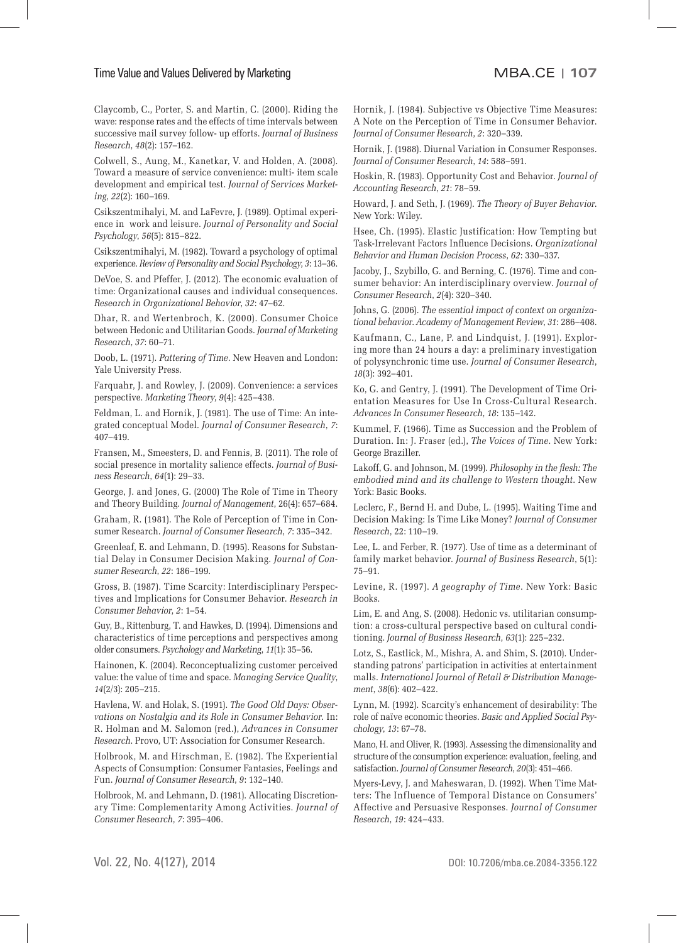#### Time Value and Values Delivered by MarketingMBA.CE **| 107**

Claycomb, C., Porter, S. and Martin, C. (2000). Riding the wave: response rates and the effects of time intervals between successive mail survey follow- up efforts. *Journal of Business Research*, *48*(2): 157–162.

Colwell, S., Aung, M., Kanetkar, V. and Holden, A. (2008). Toward a measure of service convenience: multi- item scale development and empirical test. *Journal of Services Marketing*, *22*(2): 160–169.

Csikszentmihalyi, M. and LaFevre, J. (1989). Optimal experience in work and leisure. *Journal of Personality and Social Psychology*, *56*(5): 815–822.

Csikszentmihalyi, M. (1982). Toward a psychology of optimal experience. *Review of Personality and Social Psychology*, *3*: 13–36.

DeVoe, S. and Pfeffer, J. (2012). The economic evaluation of time: Organizational causes and individual consequences. *Research in Organizational Behavior*, *32*: 47–62.

Dhar, R. and Wertenbroch, K. (2000). Consumer Choice between Hedonic and Utilitarian Goods. *Journal of Marketing Research*, *37*: 60–71.

Doob, L. (1971). *Pattering of Time*. New Heaven and London: Yale University Press.

Farquahr, J. and Rowley, J. (2009). Convenience: a services perspective. *Marketing Theory*, *9*(4): 425–438.

Feldman, L. and Hornik, J. (1981). The use of Time: An integrated conceptual Model. *Journal of Consumer Research*, *7*: 407–419.

Fransen, M., Smeesters, D. and Fennis, B. (2011). The role of social presence in mortality salience effects. *Journal of Business Research*, *64*(1): 29–33.

George, J. and Jones, G. (2000) The Role of Time in Theory and Theory Building. *Journal of Management*, 26(4): 657–684.

Graham, R. (1981). The Role of Perception of Time in Consumer Research. *Journal of Consumer Research*, *7*: 335–342.

Greenleaf, E. and Lehmann, D. (1995). Reasons for Substantial Delay in Consumer Decision Making. *Journal of Consumer Research*, *22*: 186–199.

Gross, B. (1987). Time Scarcity: Interdisciplinary Perspectives and Implications for Consumer Behavior. *Research in Consumer Behavior*, *2*: 1–54.

Guy, B., Rittenburg, T. and Hawkes, D. (1994). Dimensions and characteristics of time perceptions and perspectives among older consumers. *Psychology and Marketing*, *11*(1): 35–56.

Hainonen, K. (2004). Reconceptualizing customer perceived value: the value of time and space. *Managing Service Quality*, *14*(2/3): 205–215.

Havlena, W. and Holak, S. (1991). *The Good Old Days: Observations on Nostalgia and its Role in Consumer Behavior*. In: R. Holman and M. Salomon (red.), *Advances in Consumer Research*. Provo, UT: Association for Consumer Research.

Holbrook, M. and Hirschman, E. (1982). The Experiential Aspects of Consumption: Consumer Fantasies, Feelings and Fun. *Journal of Consumer Research*, *9*: 132–140.

Holbrook, M. and Lehmann, D. (1981). Allocating Discretionary Time: Complementarity Among Activities. *Journal of Consumer Research*, *7*: 395–406.

Hornik, J. (1984). Subjective vs Objective Time Measures: A Note on the Perception of Time in Consumer Behavior. *Journal of Consumer Research*, *2*: 320–339.

Hornik, J. (1988). Diurnal Variation in Consumer Responses. *Journal of Consumer Research*, *14*: 588–591.

Hoskin, R. (1983). Opportunity Cost and Behavior. *Journal of Accounting Research*, *21*: 78–59.

Howard, J. and Seth, J. (1969). *The Theory of Buyer Behavior*. New York: Wiley.

Hsee, Ch. (1995). Elastic Justification: How Tempting but Task-Irrelevant Factors Influence Decisions. *Organizational Behavior and Human Decision Process*, *62*: 330–337.

Jacoby, J., Szybillo, G. and Berning, C. (1976). Time and consumer behavior: An interdisciplinary overview. *Journal of Consumer Research*, *2*(4): 320–340.

Johns, G. (2006). *The essential impact of context on organizational behavior*. *Academy of Management Review*, *31*: 286–408.

Kaufmann, C., Lane, P. and Lindquist, J. (1991). Exploring more than 24 hours a day: a preliminary investigation of polysynchronic time use. *Journal of Consumer Research*, *18*(3): 392–401.

Ko, G. and Gentry, J. (1991). The Development of Time Orientation Measures for Use In Cross-Cultural Research. *Advances In Consumer Research*, *18*: 135–142.

Kummel, F. (1966). Time as Succession and the Problem of Duration. In: J. Fraser (ed.), *The Voices of Time*. New York: George Braziller.

Lakoff, G. and Johnson, M. (1999). *Philosophy in the flesh: The embodied mind and its challenge to Western thought*. New York: Basic Books.

Leclerc, F., Bernd H. and Dube, L. (1995). Waiting Time and Decision Making: Is Time Like Money? *Journal of Consumer Research*, 22: 110–19.

Lee, L. and Ferber, R. (1977). Use of time as a determinant of family market behavior. *Journal of Business Research*, 5(1): 75–91.

Levine, R. (1997). *A geography of Time*. New York: Basic Books.

Lim, E. and Ang, S. (2008). Hedonic vs. utilitarian consumption: a cross-cultural perspective based on cultural conditioning. *Journal of Business Research*, *63*(1): 225–232.

Lotz, S., Eastlick, M., Mishra, A. and Shim, S. (2010). Understanding patrons' participation in activities at entertainment malls. *International Journal of Retail & Distribution Management*, *38*(6): 402–422.

Lynn, M. (1992). Scarcity's enhancement of desirability: The role of naïve economic theories. *Basic and Applied Social Psychology*, *13*: 67–78.

Mano, H. and Oliver, R. (1993). Assessing the dimensionality and structure of the consumption experience: evaluation, feeling, and satisfaction. *Journal of Consumer Research*, *20*(3): 451–466.

Myers-Levy, J. and Maheswaran, D. (1992). When Time Matters: The Influence of Temporal Distance on Consumers' Affective and Persuasive Responses. *Journal of Consumer Research*, *19*: 424–433.